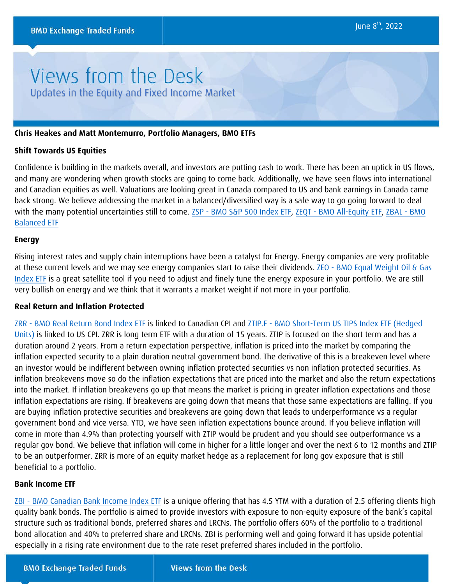# Views from the Desk Updates in the Equity and Fixed Income Market

### **Chris Heakes and Matt Montemurro, Portfolio Managers, BMO ETFs**

#### **Shift Towards US Equities**

Confidence is building in the markets overall, and investors are putting cash to work. There has been an uptick in US flows, and many are wondering when growth stocks are going to come back. Additionally, we have seen flows into international and Canadian equities as well. Valuations are looking great in Canada compared to US and bank earnings in Canada came back strong. We believe addressing the market in a balanced/diversified way is a safe way to go going forward to deal with the many potential uncertainties still to come. [ZSP - BMO S&P 500](https://www.bmo.com/gam/ca/advisor/products/etfs?fundUrl=/fundProfile/ZSP#fundUrl=%2FfundProfile%2FZSP) Index ETF, ZEQT [- BMO All-Equity ETF,](https://www.bmo.com/gam/ca/advisor/products/etfs?fundUrl=/fundProfile/ZEQT#fundUrl=%2FfundProfile%2FZEQT) ZBAL - BMO [Balanced ETF](https://www.bmo.com/gam/ca/advisor/products/etfs?fundUrl=/fundProfile/ZBAL#fundUrl=%2FfundProfile%2FZBAL)

#### **Energy**

Rising interest rates and supply chain interruptions have been a catalyst for Energy. Energy companies are very profitable at these current levels and we may see energy companies start to raise their dividends. ZEO [- BMO Equal Weight Oil & Gas](https://www.bmo.com/gam/ca/advisor/products/etfs?fundUrl=/fundProfile/ZEO#fundUrl=%2FfundProfile%2FZEO) [Index ETF](https://www.bmo.com/gam/ca/advisor/products/etfs?fundUrl=/fundProfile/ZEO#fundUrl=%2FfundProfile%2FZEO) is a great satellite tool if you need to adjust and finely tune the energy exposure in your portfolio. We are still very bullish on energy and we think that it warrants a market weight if not more in your portfolio.

#### **Real Return and Inflation Protected**

ZRR [- BMO Real Return Bond Index](https://www.bmo.com/gam/ca/advisor/products/etfs?fundUrl=/fundProfile/ZRR#fundUrl=%2FfundProfile%2FZRR) ETF is linked to Canadian CPI and ZTIP.F [- BMO Short-Term US TIPS Index ETF \(Hedged](https://www.bmo.com/gam/ca/advisor/products/etfs?fundUrl=/fundProfile/ZTIP.F#fundUrl=%2FfundProfile%2FZTIP.F) [Units\)](https://www.bmo.com/gam/ca/advisor/products/etfs?fundUrl=/fundProfile/ZTIP.F#fundUrl=%2FfundProfile%2FZTIP.F) is linked to US CPI. ZRR is long term ETF with a duration of 15 years. ZTIP is focused on the short term and has a duration around 2 years. From a return expectation perspective, inflation is priced into the market by comparing the inflation expected security to a plain duration neutral government bond. The derivative of this is a breakeven level where an investor would be indifferent between owning inflation protected securities vs non inflation protected securities. As inflation breakevens move so do the inflation expectations that are priced into the market and also the return expectations into the market. If inflation breakevens go up that means the market is pricing in greater inflation expectations and those inflation expectations are rising. If breakevens are going down that means that those same expectations are falling. If you are buying inflation protective securities and breakevens are going down that leads to underperformance vs a regular government bond and vice versa. YTD, we have seen inflation expectations bounce around. If you believe inflation will come in more than 4.9% than protecting yourself with ZTIP would be prudent and you should see outperformance vs a regular gov bond. We believe that inflation will come in higher for a little longer and over the next 6 to 12 months and ZTIP to be an outperformer. ZRR is more of an equity market hedge as a replacement for long gov exposure that is still beneficial to a portfolio.

#### **Bank Income ETF**

[ZBI - BMO Canadian Bank Income Index ETF](https://www.bmo.com/gam/ca/advisor/products/etfs?fundUrl=/fundProfile/ZBI#fundUrl=%2FfundProfile%2FZBI) is a unique offering that has 4.5 YTM with a duration of 2.5 offering clients high quality bank bonds. The portfolio is aimed to provide investors with exposure to non-equity exposure of the bank's capital structure such as traditional bonds, preferred shares and LRCNs. The portfolio offers 60% of the portfolio to a traditional bond allocation and 40% to preferred share and LRCNs. ZBI is performing well and going forward it has upside potential especially in a rising rate environment due to the rate reset preferred shares included in the portfolio.

**BMO Exchange Traded Funds**